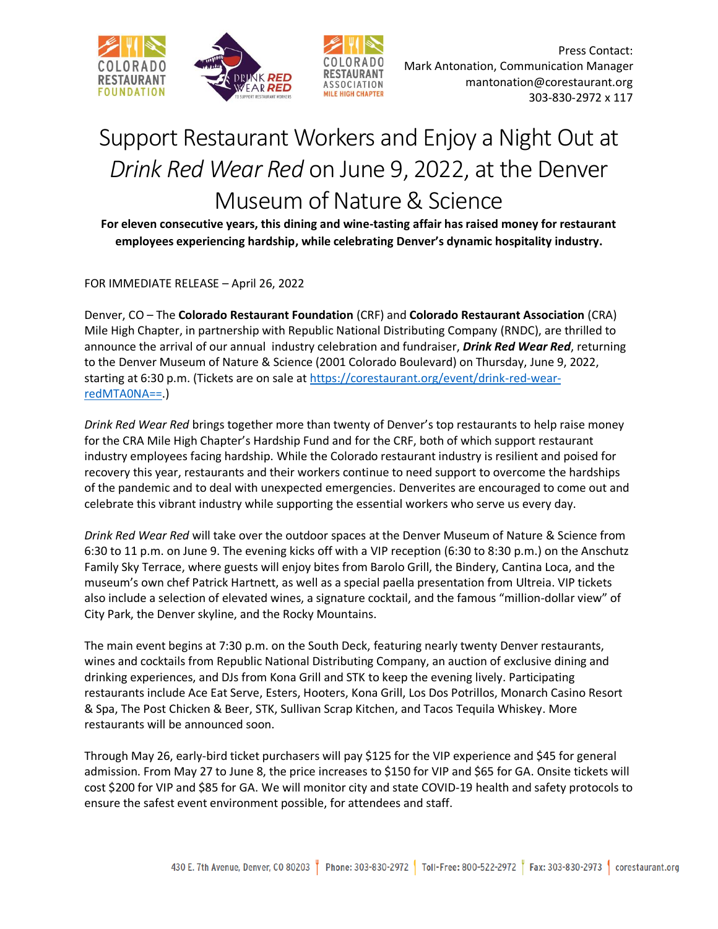

Press Contact: Mark Antonation, Communication Manager mantonation@corestaurant.org 303-830-2972 x 117

## Support Restaurant Workers and Enjoy a Night Out at *Drink Red Wear Red* on June 9, 2022, at the Denver Museum of Nature & Science

**OCIATION** 

**For eleven consecutive years, this dining and wine-tasting affair has raised money for restaurant employees experiencing hardship, while celebrating Denver's dynamic hospitality industry.**

FOR IMMEDIATE RELEASE – April 26, 2022

Denver, CO – The **Colorado Restaurant Foundation** (CRF) and **Colorado Restaurant Association** (CRA) Mile High Chapter, in partnership with Republic National Distributing Company (RNDC), are thrilled to announce the arrival of our annual industry celebration and fundraiser, *Drink Red Wear Red*, returning to the Denver Museum of Nature & Science (2001 Colorado Boulevard) on Thursday, June 9, 2022, starting at 6:30 p.m. (Tickets are on sale at [https://corestaurant.org/event/drink-red-wear](https://corestaurant.org/event/drink-red-wear-redMTA0NA==)[redMTA0NA==.](https://corestaurant.org/event/drink-red-wear-redMTA0NA==))

*Drink Red Wear Red* brings together more than twenty of Denver's top restaurants to help raise money for the CRA Mile High Chapter's Hardship Fund and for the CRF, both of which support restaurant industry employees facing hardship. While the Colorado restaurant industry is resilient and poised for recovery this year, restaurants and their workers continue to need support to overcome the hardships of the pandemic and to deal with unexpected emergencies. Denverites are encouraged to come out and celebrate this vibrant industry while supporting the essential workers who serve us every day.

*Drink Red Wear Red* will take over the outdoor spaces at the Denver Museum of Nature & Science from 6:30 to 11 p.m. on June 9. The evening kicks off with a VIP reception (6:30 to 8:30 p.m.) on the Anschutz Family Sky Terrace, where guests will enjoy bites from Barolo Grill, the Bindery, Cantina Loca, and the museum's own chef Patrick Hartnett, as well as a special paella presentation from Ultreia. VIP tickets also include a selection of elevated wines, a signature cocktail, and the famous "million-dollar view" of City Park, the Denver skyline, and the Rocky Mountains.

The main event begins at 7:30 p.m. on the South Deck, featuring nearly twenty Denver restaurants, wines and cocktails from Republic National Distributing Company, an auction of exclusive dining and drinking experiences, and DJs from Kona Grill and STK to keep the evening lively. Participating restaurants include Ace Eat Serve, Esters, Hooters, Kona Grill, Los Dos Potrillos, Monarch Casino Resort & Spa, The Post Chicken & Beer, STK, Sullivan Scrap Kitchen, and Tacos Tequila Whiskey. More restaurants will be announced soon.

Through May 26, early-bird ticket purchasers will pay \$125 for the VIP experience and \$45 for general admission. From May 27 to June 8, the price increases to \$150 for VIP and \$65 for GA. Onsite tickets will cost \$200 for VIP and \$85 for GA. We will monitor city and state COVID-19 health and safety protocols to ensure the safest event environment possible, for attendees and staff.